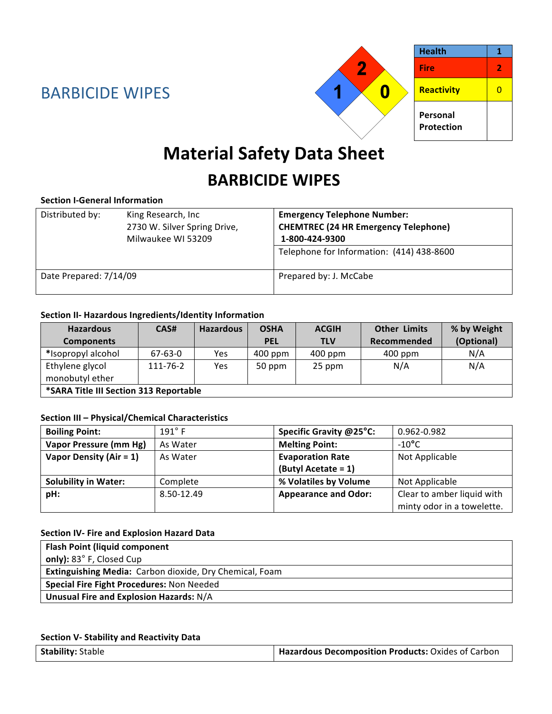

# **Material Safety Data Sheet**

# **BARBICIDE WIPES**

### **Section I‐General Information**

| Distributed by:        | King Research, Inc<br>2730 W. Silver Spring Drive,<br>Milwaukee WI 53209 | <b>Emergency Telephone Number:</b><br><b>CHEMTREC (24 HR Emergency Telephone)</b><br>1-800-424-9300 |  |
|------------------------|--------------------------------------------------------------------------|-----------------------------------------------------------------------------------------------------|--|
|                        |                                                                          | Telephone for Information: (414) 438-8600                                                           |  |
| Date Prepared: 7/14/09 |                                                                          | Prepared by: J. McCabe                                                                              |  |

### **Section II‐ Hazardous Ingredients/Identity Information**

| <b>Hazardous</b>                       | CAS#     | <b>Hazardous</b> | <b>OSHA</b> | <b>ACGIH</b> | <b>Other Limits</b> | % by Weight |
|----------------------------------------|----------|------------------|-------------|--------------|---------------------|-------------|
| <b>Components</b>                      |          |                  | <b>PEL</b>  | <b>TLV</b>   | Recommended         | (Optional)  |
| *Isopropyl alcohol                     | 67-63-0  | Yes              | 400 ppm     | $400$ ppm    | $400$ ppm           | N/A         |
| Ethylene glycol<br>monobutyl ether     | 111-76-2 | Yes              | 50 ppm      | 25 ppm       | N/A                 | N/A         |
| *SARA Title III Section 313 Reportable |          |                  |             |              |                     |             |

#### **Section III – Physical/Chemical Characteristics**

| <b>Boiling Point:</b>       | $191^\circ$ F | Specific Gravity @25°C:     | 0.962-0.982                |
|-----------------------------|---------------|-----------------------------|----------------------------|
| Vapor Pressure (mm Hg)      | As Water      | <b>Melting Point:</b>       | $-10^{\circ}$ C            |
| Vapor Density (Air = $1$ )  | As Water      | <b>Evaporation Rate</b>     | Not Applicable             |
|                             |               | (Butyl Acetate = 1)         |                            |
| <b>Solubility in Water:</b> | Complete      | % Volatiles by Volume       | Not Applicable             |
| pH:                         | 8.50-12.49    | <b>Appearance and Odor:</b> | Clear to amber liquid with |
|                             |               |                             | minty odor in a towelette. |

#### **Section IV‐ Fire and Explosion Hazard Data**

| <b>Flash Point (liquid component</b>                    |
|---------------------------------------------------------|
| only): 83° F, Closed Cup                                |
| Extinguishing Media: Carbon dioxide, Dry Chemical, Foam |
| Special Fire Fight Procedures: Non Needed               |
| Unusual Fire and Explosion Hazards: N/A                 |

#### **Section V‐ Stability and Reactivity Data**

| <b>Stability: Stable</b> | Hazardous Decomposition Products: Oxides of Carbon |
|--------------------------|----------------------------------------------------|
|--------------------------|----------------------------------------------------|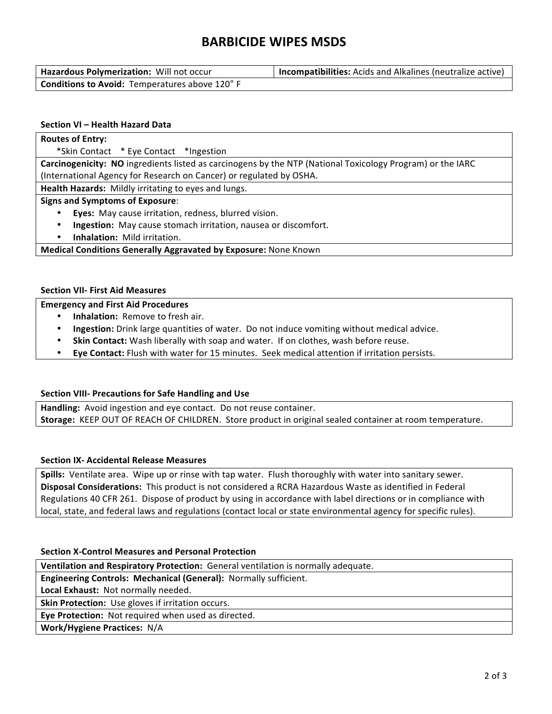# **BARBICIDE WIPES MSDS**

| Hazardous Polymerization: Will not occur              | <b>Incompatibilities:</b> Acids and Alkalines (neutralize active) |
|-------------------------------------------------------|-------------------------------------------------------------------|
| <b>Conditions to Avoid:</b> Temperatures above 120° F |                                                                   |

#### **Section VI – Health Hazard Data**

| <b>Routes of Entry:</b>                                                                                    |  |  |
|------------------------------------------------------------------------------------------------------------|--|--|
| *Skin Contact * Eye Contact * Ingestion                                                                    |  |  |
| Carcinogenicity: NO ingredients listed as carcinogens by the NTP (National Toxicology Program) or the IARC |  |  |
| (International Agency for Research on Cancer) or regulated by OSHA.                                        |  |  |
| Health Hazards: Mildly irritating to eyes and lungs.                                                       |  |  |
| <b>Signs and Symptoms of Exposure:</b>                                                                     |  |  |
| Eyes: May cause irritation, redness, blurred vision.<br>٠                                                  |  |  |
| Ingestion: May cause stomach irritation, nausea or discomfort.<br>٠                                        |  |  |
| Inhalation: Mild irritation.<br>$\bullet$                                                                  |  |  |

**Medical Conditions Generally Aggravated by Exposure:** None Known

#### **Section VII‐ First Aid Measures**

#### **Emergency and First Aid Procedures**

- **Inhalation:** Remove to fresh air.
- **Ingestion:** Drink large quantities of water. Do not induce vomiting without medical advice.
- **Skin Contact:** Wash liberally with soap and water. If on clothes, wash before reuse.
- **Eye Contact:** Flush with water for 15 minutes. Seek medical attention if irritation persists.

#### **Section VIII‐ Precautions for Safe Handling and Use**

**Handling:** Avoid ingestion and eye contact. Do not reuse container. **Storage:** KEEP OUT OF REACH OF CHILDREN. Store product in original sealed container at room temperature.

#### **Section IX‐ Accidental Release Measures**

**Spills:** Ventilate area. Wipe up or rinse with tap water. Flush thoroughly with water into sanitary sewer. **Disposal Considerations:** This product is not considered a RCRA Hazardous Waste as identified in Federal Regulations 40 CFR 261. Dispose of product by using in accordance with label directions or in compliance with local, state, and federal laws and regulations (contact local or state environmental agency for specific rules).

#### **Section X‐Control Measures and Personal Protection**

**Ventilation and Respiratory Protection:** General ventilation is normally adequate.

**Engineering Controls: Mechanical (General):** Normally sufficient.

**Local Exhaust:** Not normally needed.

**Skin Protection:** Use gloves if irritation occurs.

**Eye Protection:** Not required when used as directed.

**Work/Hygiene Practices:** N/A